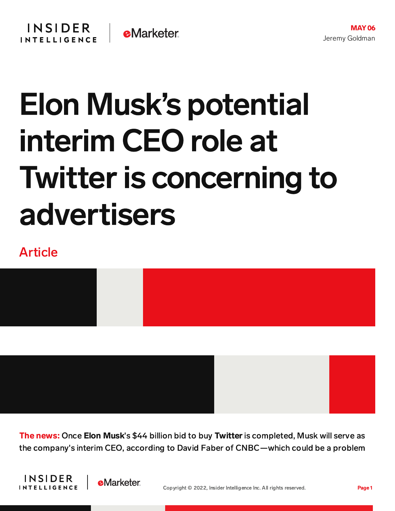## Elon Musk's potential interim CEO role at **Twitter is concerning to** advertisers

## Article



The news: Once Elon Musk's \$44 billion bid to buy Twitter is completed, Musk will serve as the company's interim CEO, according to David Faber of CNBC—which could be a problem